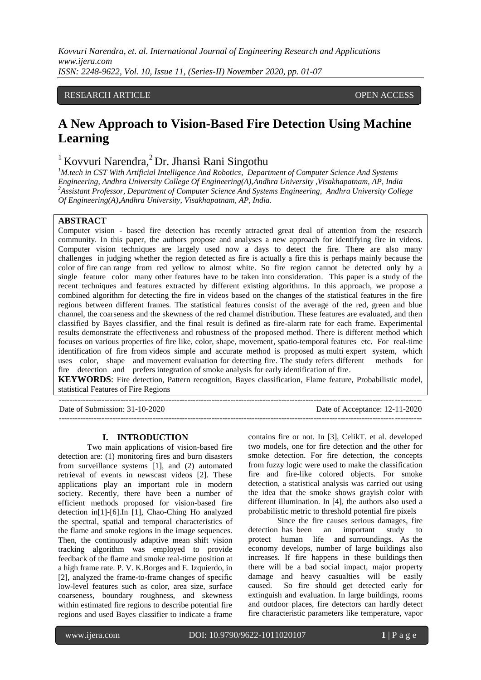*Kovvuri Narendra, et. al. International Journal of Engineering Research and Applications www.ijera.com ISSN: 2248-9622, Vol. 10, Issue 11, (Series-II) November 2020, pp. 01-07*

## RESEARCH ARTICLE **CONSERVERS** OPEN ACCESS

# **A New Approach to Vision-Based Fire Detection Using Machine Learning**

# $1$ Kovvuri Narendra,  $2$ Dr. Jhansi Rani Singothu

*<sup>1</sup>M.tech in CST With Artificial Intelligence And Robotics, Department of Computer Science And Systems Engineering, Andhra University College Of Engineering(A),Andhra University ,Visakhapatnam, AP, India <sup>2</sup>Assistant Professor, Department of Computer Science And Systems Engineering, Andhra University College Of Engineering(A),Andhra University, Visakhapatnam, AP, India.*

#### **ABSTRACT**

Computer vision - based fire detection has recently attracted great deal of attention from the research community. In this paper, the authors propose and analyses a new approach for identifying fire in videos. Computer vision techniques are largely used now a days to detect the fire. There are also many challenges in judging whether the region detected as fire is actually a fire this is perhaps mainly because the color of fire can range from red yellow to almost white. So fire region cannot be detected only by a single feature color many other features have to be taken into consideration. This paper is a study of the recent techniques and features extracted by different existing algorithms. In this approach, we propose a combined algorithm for detecting the fire in videos based on the changes of the statistical features in the fire regions between different frames. The statistical features consist of the average of the red, green and blue channel, the coarseness and the skewness of the red channel distribution. These features are evaluated, and then classified by Bayes classifier, and the final result is defined as fire-alarm rate for each frame. Experimental results demonstrate the effectiveness and robustness of the proposed method. There is different method which focuses on various properties of fire like, color, shape, movement, spatio-temporal features etc. For real-time identification of fire from videos simple and accurate method is proposed as multi expert system, which uses color, shape and movement evaluation for detecting fire. The study refers different methods for fire detection and prefers integration of smoke analysis for early identification of fire.

**KEYWORDS**: Fire detection, Pattern recognition, Bayes classification, Flame feature, Probabilistic model, statistical Features of Fire Regions

| Date of Submission: $31-10-2020$ | Date of Acceptance: 12-11-2020 |
|----------------------------------|--------------------------------|
|                                  |                                |

#### **I. INTRODUCTION**

Two main applications of vision-based fire detection are: (1) monitoring fires and burn disasters from surveillance systems [1], and (2) automated retrieval of events in newscast videos [2]. These applications play an important role in modern society. Recently, there have been a number of efficient methods proposed for vision-based fire detection in[1]-[6].In [1], Chao-Ching Ho analyzed the spectral, spatial and temporal characteristics of the flame and smoke regions in the image sequences. Then, the continuously adaptive mean shift vision tracking algorithm was employed to provide feedback of the flame and smoke real-time position at a high frame rate. P. V. K.Borges and E. Izquierdo, in [2], analyzed the frame-to-frame changes of specific low-level features such as color, area size, surface coarseness, boundary roughness, and skewness within estimated fire regions to describe potential fire regions and used Bayes classifier to indicate a frame

contains fire or not. In [3], CelikT. et al. developed two models, one for fire detection and the other for smoke detection. For fire detection, the concepts from fuzzy logic were used to make the classification fire and fire-like colored objects. For smoke detection, a statistical analysis was carried out using the idea that the smoke shows grayish color with different illumination. In [4], the authors also used a probabilistic metric to threshold potential fire pixels

Since the fire causes serious damages, fire detection has been an important study to protect human life and surroundings. As the economy develops, number of large buildings also increases. If fire happens in these buildings then there will be a bad social impact, major property damage and heavy casualties will be easily caused. So fire should get detected early for extinguish and evaluation. In large buildings, rooms and outdoor places, fire detectors can hardly detect fire characteristic parameters like temperature, vapor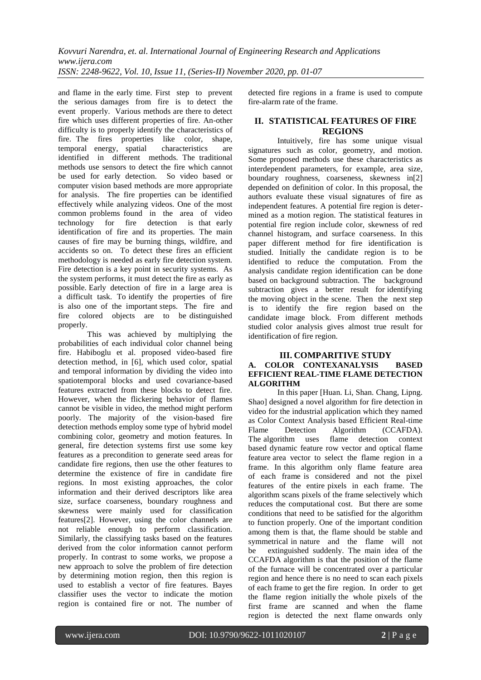and flame in the early time. First step to prevent the serious damages from fire is to detect the event properly. Various methods are there to detect fire which uses different properties of fire. An-other difficulty is to properly identify the characteristics of fire. The fires properties like color, shape, temporal energy, spatial characteristics are identified in different methods. The traditional methods use sensors to detect the fire which cannot be used for early detection. So video based or computer vision based methods are more appropriate for analysis. The fire properties can be identified effectively while analyzing videos. One of the most common problems found in the area of video technology for fire detection is that early identification of fire and its properties. The main causes of fire may be burning things, wildfire, and accidents so on. To detect these fires an efficient methodology is needed as early fire detection system. Fire detection is a key point in security systems. As the system performs, it must detect the fire as early as possible. Early detection of fire in a large area is a difficult task. To identify the properties of fire is also one of the important steps. The fire and fire colored objects are to be distinguished properly.

This was achieved by multiplying the probabilities of each individual color channel being fire. Habiboglu et al. proposed video-based fire detection method, in [6], which used color, spatial and temporal information by dividing the video into spatiotemporal blocks and used covariance-based features extracted from these blocks to detect fire. However, when the flickering behavior of flames cannot be visible in video, the method might perform poorly. The majority of the vision-based fire detection methods employ some type of hybrid model combining color, geometry and motion features. In general, fire detection systems first use some key features as a precondition to generate seed areas for candidate fire regions, then use the other features to determine the existence of fire in candidate fire regions. In most existing approaches, the color information and their derived descriptors like area size, surface coarseness, boundary roughness and skewness were mainly used for classification features[2]. However, using the color channels are not reliable enough to perform classification. Similarly, the classifying tasks based on the features derived from the color information cannot perform properly. In contrast to some works, we propose a new approach to solve the problem of fire detection by determining motion region, then this region is used to establish a vector of fire features. Bayes classifier uses the vector to indicate the motion region is contained fire or not. The number of

detected fire regions in a frame is used to compute fire-alarm rate of the frame.

# **II. STATISTICAL FEATURES OF FIRE REGIONS**

Intuitively, fire has some unique visual signatures such as color, geometry, and motion. Some proposed methods use these characteristics as interdependent parameters, for example, area size, boundary roughness, coarseness, skewness in[2] depended on definition of color. In this proposal, the authors evaluate these visual signatures of fire as independent features. A potential fire region is determined as a motion region. The statistical features in potential fire region include color, skewness of red channel histogram, and surface coarseness. In this paper different method for fire identification is studied. Initially the candidate region is to be identified to reduce the computation. From the analysis candidate region identification can be done based on background subtraction. The background subtraction gives a better result for identifying the moving object in the scene. Then the next step is to identify the fire region based on the candidate image block. From different methods studied color analysis gives almost true result for identification of fire region.

## **III. COMPARITIVE STUDY A. COLOR CONTEXANALYSIS BASED EFFICIENT REAL-TIME FLAME DETECTION ALGORITHM**

In this paper [Huan. Li, Shan. Chang, Lipng. Shao] designed a novel algorithm for fire detection in video for the industrial application which they named as Color Context Analysis based Efficient Real-time Flame Detection Algorithm (CCAFDA). The algorithm uses flame detection context based dynamic feature row vector and optical flame feature area vector to select the flame region in a frame. In this algorithm only flame feature area of each frame is considered and not the pixel features of the entire pixels in each frame. The algorithm scans pixels of the frame selectively which reduces the computational cost. But there are some conditions that need to be satisfied for the algorithm to function properly. One of the important condition among them is that, the flame should be stable and symmetrical in nature and the flame will not be extinguished suddenly. The main idea of the CCAFDA algorithm is that the position of the flame of the furnace will be concentrated over a particular region and hence there is no need to scan each pixels of each frame to get the fire region. In order to get the flame region initially the whole pixels of the first frame are scanned and when the flame region is detected the next flame onwards only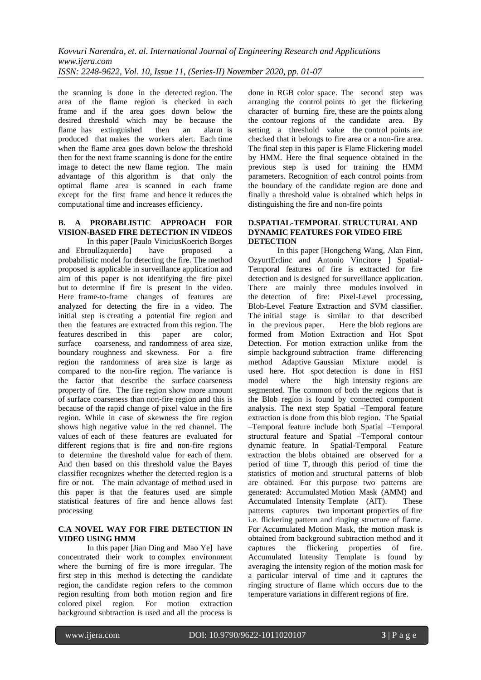the scanning is done in the detected region. The area of the flame region is checked in each frame and if the area goes down below the desired threshold which may be because the flame has extinguished then an alarm is produced that makes the workers alert. Each time when the flame area goes down below the threshold then for the next frame scanning is done for the entire image to detect the new flame region. The main advantage of this algorithm is that only the optimal flame area is scanned in each frame except for the first frame and hence it reduces the computational time and increases efficiency.

#### **B. A PROBABLISTIC APPROACH FOR VISION-BASED FIRE DETECTION IN VIDEOS**

In this paper [Paulo ViniciusKoerich Borges and EbroulIzquierdo] have proposed a probabilistic model for detecting the fire. The method proposed is applicable in surveillance application and aim of this paper is not identifying the fire pixel but to determine if fire is present in the video. Here frame-to-frame changes of features are analyzed for detecting the fire in a video. The initial step is creating a potential fire region and then the features are extracted from this region. The features described in this paper are color, surface coarseness, and randomness of area size, boundary roughness and skewness. For a fire region the randomness of area size is large as compared to the non-fire region. The variance is the factor that describe the surface coarseness property of fire. The fire region show more amount of surface coarseness than non-fire region and this is because of the rapid change of pixel value in the fire region. While in case of skewness the fire region shows high negative value in the red channel. The values of each of these features are evaluated for different regions that is fire and non-fire regions to determine the threshold value for each of them. And then based on this threshold value the Bayes classifier recognizes whether the detected region is a fire or not. The main advantage of method used in this paper is that the features used are simple statistical features of fire and hence allows fast processing

#### **C.A NOVEL WAY FOR FIRE DETECTION IN VIDEO USING HMM**

In this paper [Jian Ding and Mao Ye] have concentrated their work to complex environment where the burning of fire is more irregular. The first step in this method is detecting the candidate region, the candidate region refers to the common region resulting from both motion region and fire colored pixel region. For motion extraction background subtraction is used and all the process is done in RGB color space. The second step was arranging the control points to get the flickering character of burning fire, these are the points along the contour regions of the candidate area. By setting a threshold value the control points are checked that it belongs to fire area or a non-fire area. The final step in this paper is Flame Flickering model by HMM. Here the final sequence obtained in the previous step is used for training the HMM parameters. Recognition of each control points from the boundary of the candidate region are done and finally a threshold value is obtained which helps in distinguishing the fire and non-fire points

#### **D.SPATIAL-TEMPORAL STRUCTURAL AND DYNAMIC FEATURES FOR VIDEO FIRE DETECTION**

In this paper [Hongcheng Wang, Alan Finn, OzyurtErdinc and Antonio Vincitore ] Spatial-Temporal features of fire is extracted for fire detection and is designed for surveillance application. There are mainly three modules involved in the detection of fire: Pixel-Level processing, Blob-Level Feature Extraction and SVM classifier. The initial stage is similar to that described in the previous paper. Here the blob regions are formed from Motion Extraction and Hot Spot Detection. For motion extraction unlike from the simple background subtraction frame differencing method Adaptive Gaussian Mixture model is used here. Hot spot detection is done in HSI model where the high intensity regions are segmented. The common of both the regions that is the Blob region is found by connected component analysis. The next step Spatial –Temporal feature extraction is done from this blob region. The Spatial –Temporal feature include both Spatial –Temporal structural feature and Spatial –Temporal contour dynamic feature. In Spatial-Temporal Feature extraction the blobs obtained are observed for a period of time T, through this period of time the statistics of motion and structural patterns of blob are obtained. For this purpose two patterns are generated: Accumulated Motion Mask (AMM) and Accumulated Intensity Template (AIT). These patterns captures two important properties of fire i.e. flickering pattern and ringing structure of flame. For Accumulated Motion Mask, the motion mask is obtained from background subtraction method and it captures the flickering properties of fire. Accumulated Intensity Template is found by averaging the intensity region of the motion mask for a particular interval of time and it captures the ringing structure of flame which occurs due to the temperature variations in different regions of fire.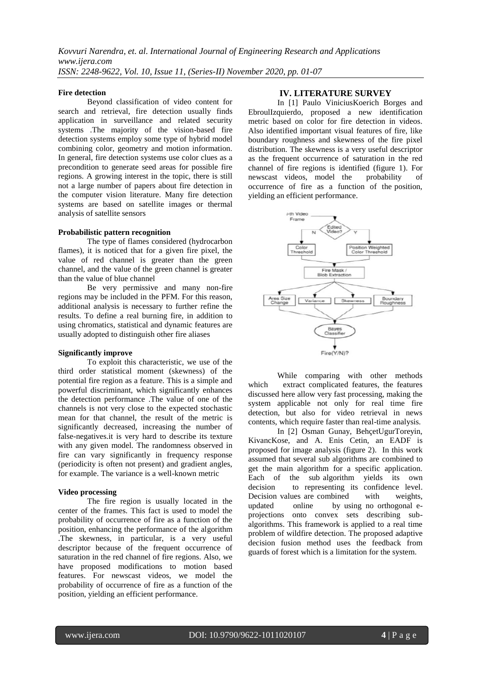#### **Fire detection**

Beyond classification of video content for search and retrieval, fire detection usually finds application in surveillance and related security systems .The majority of the vision-based fire detection systems employ some type of hybrid model combining color, geometry and motion information. In general, fire detection systems use color clues as a precondition to generate seed areas for possible fire regions. A growing interest in the topic, there is still not a large number of papers about fire detection in the computer vision literature. Many fire detection systems are based on satellite images or thermal analysis of satellite sensors

#### **Probabilistic pattern recognition**

The type of flames considered (hydrocarbon flames), it is noticed that for a given fire pixel, the value of red channel is greater than the green channel, and the value of the green channel is greater than the value of blue channel

Be very permissive and many non-fire regions may be included in the PFM. For this reason, additional analysis is necessary to further refine the results. To define a real burning fire, in addition to using chromatics, statistical and dynamic features are usually adopted to distinguish other fire aliases

#### **Significantly improve**

To exploit this characteristic, we use of the third order statistical moment (skewness) of the potential fire region as a feature. This is a simple and powerful discriminant, which significantly enhances the detection performance .The value of one of the channels is not very close to the expected stochastic mean for that channel, the result of the metric is significantly decreased, increasing the number of false-negatives.it is very hard to describe its texture with any given model. The randomness observed in fire can vary significantly in frequency response (periodicity is often not present) and gradient angles, for example. The variance is a well-known metric

#### **Video processing**

The fire region is usually located in the center of the frames. This fact is used to model the probability of occurrence of fire as a function of the position, enhancing the performance of the algorithm .The skewness, in particular, is a very useful descriptor because of the frequent occurrence of saturation in the red channel of fire regions. Also, we have proposed modifications to motion based features. For newscast videos, we model the probability of occurrence of fire as a function of the position, yielding an efficient performance.

#### **IV. LITERATURE SURVEY**

In [1] Paulo ViniciusKoerich Borges and EbroulIzquierdo, proposed a new identification metric based on color for fire detection in videos. Also identified important visual features of fire, like boundary roughness and skewness of the fire pixel distribution. The skewness is a very useful descriptor as the frequent occurrence of saturation in the red channel of fire regions is identified (figure 1). For newscast videos, model the probability of occurrence of fire as a function of the position, yielding an efficient performance.



While comparing with other methods which extract complicated features, the features discussed here allow very fast processing, making the system applicable not only for real time fire detection, but also for video retrieval in news contents, which require faster than real-time analysis.

In [2] Osman Gunay, BehçetUgurToreyin, KivancKose, and A. Enis Cetin, an EADF is proposed for image analysis (figure 2). In this work assumed that several sub algorithms are combined to get the main algorithm for a specific application. Each of the sub algorithm yields its own decision to representing its confidence level. Decision values are combined with weights, updated online by using no orthogonal eprojections onto convex sets describing subalgorithms. This framework is applied to a real time problem of wildfire detection. The proposed adaptive decision fusion method uses the feedback from guards of forest which is a limitation for the system.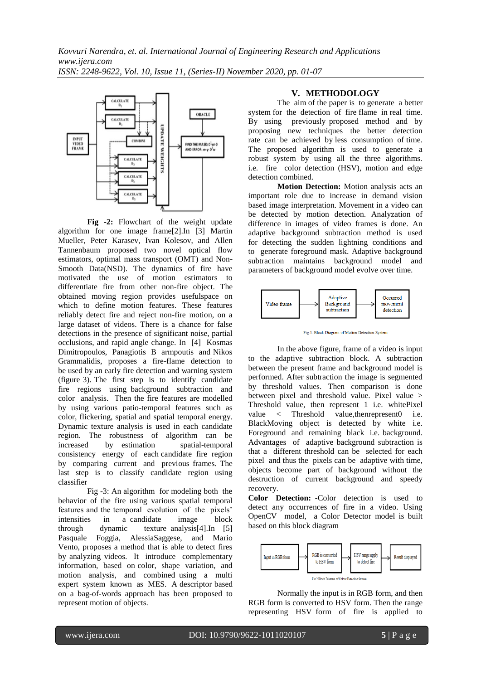

**Fig -2:** Flowchart of the weight update algorithm for one image frame[2].In [3] Martin Mueller, Peter Karasev, Ivan Kolesov, and Allen Tannenbaum proposed two novel optical flow estimators, optimal mass transport (OMT) and Non-Smooth Data(NSD). The dynamics of fire have motivated the use of motion estimators to differentiate fire from other non-fire object. The obtained moving region provides usefulspace on which to define motion features. These features reliably detect fire and reject non-fire motion, on a large dataset of videos. There is a chance for false detections in the presence of significant noise, partial occlusions, and rapid angle change. In [4] Kosmas Dimitropoulos, Panagiotis B armpoutis and Nikos Grammalidis, proposes a fire-flame detection to be used by an early fire detection and warning system (figure 3). The first step is to identify candidate fire regions using background subtraction and color analysis. Then the fire features are modelled by using various patio-temporal features such as color, flickering, spatial and spatial temporal energy. Dynamic texture analysis is used in each candidate region. The robustness of algorithm can be increased by estimation spatial-temporal consistency energy of each candidate fire region by comparing current and previous frames. The last step is to classify candidate region using classifier

Fig -3: An algorithm for modeling both the behavior of the fire using various spatial temporal features and the temporal evolution of the pixels' intensities in a candidate image block through dynamic texture analysis[4].In [5] Pasquale Foggia, AlessiaSaggese, and Mario Vento, proposes a method that is able to detect fires by analyzing videos. It introduce complementary information, based on color, shape variation, and motion analysis, and combined using a multi expert system known as MES. A descriptor based on a bag-of-words approach has been proposed to represent motion of objects.

#### **V. METHODOLOGY**

The aim of the paper is to generate a better system for the detection of fire flame in real time. By using previously proposed method and by proposing new techniques the better detection rate can be achieved by less consumption of time. The proposed algorithm is used to generate a robust system by using all the three algorithms. i.e. fire color detection (HSV), motion and edge detection combined.

**Motion Detection:** Motion analysis acts an important role due to increase in demand vision based image interpretation. Movement in a video can be detected by motion detection. Analyzation of difference in images of video frames is done. An adaptive background subtraction method is used for detecting the sudden lightning conditions and to generate foreground mask. Adaptive background subtraction maintains background model and parameters of background model evolve over time.



Fig.1. Block Diagram of Motion Detection System

In the above figure, frame of a video is input to the adaptive subtraction block. A subtraction between the present frame and background model is performed. After subtraction the image is segmented by threshold values. Then comparison is done between pixel and threshold value. Pixel value > Threshold value, then represent 1 i.e. whitePixel value  $\langle$  Threshold value, then represent 0 i.e. BlackMoving object is detected by white i.e. Foreground and remaining black i.e. background. Advantages of adaptive background subtraction is that a different threshold can be selected for each pixel and thus the pixels can be adaptive with time, objects become part of background without the destruction of current background and speedy recovery.

**Color Detection: -**Color detection is used to detect any occurrences of fire in a video. Using OpenCV model, a Color Detector model is built based on this block diagram



Normally the input is in RGB form, and then RGB form is converted to HSV form. Then the range representing HSV form of fire is applied to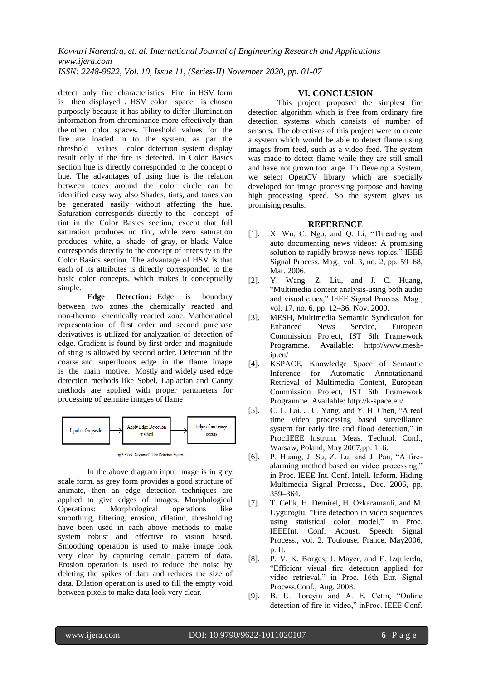detect only fire characteristics. Fire in HSV form is then displayed . HSV color space is chosen purposely because it has ability to differ illumination information from chrominance more effectively than the other color spaces. Threshold values for the fire are loaded in to the system, as par the threshold values color detection system display result only if the fire is detected. In Color Basics section hue is directly corresponded to the concept o hue. The advantages of using hue is the relation between tones around the color circle can be identified easy way also Shades, tints, and tones can be generated easily without affecting the hue. Saturation corresponds directly to the concept of tint in the Color Basics section, except that full saturation produces no tint, while zero saturation produces white, a shade of gray, or black. Value corresponds directly to the concept of intensity in the Color Basics section. The advantage of HSV is that each of its attributes is directly corresponded to the basic color concepts, which makes it conceptually simple.

**Edge Detection:** Edge is boundary between two zones .the chemically reacted and non-thermo chemically reacted zone. Mathematical representation of first order and second purchase derivatives is utilized for analyzation of detection of edge. Gradient is found by first order and magnitude of sting is allowed by second order. Detection of the coarse and superfluous edge in the flame image is the main motive. Mostly and widely used edge detection methods like Sobel, Laplacian and Canny methods are applied with proper parameters for processing of genuine images of flame



Fig.3 Block Diagram of Color Detection System

In the above diagram input image is in grey scale form, as grey form provides a good structure of animate, then an edge detection techniques are applied to give edges of images. Morphological Operations: Morphological operations like smoothing, filtering, erosion, dilation, thresholding have been used in each above methods to make system robust and effective to vision based. Smoothing operation is used to make image look very clear by capturing certain pattern of data. Erosion operation is used to reduce the noise by deleting the spikes of data and reduces the size of data. Dilation operation is used to fill the empty void between pixels to make data look very clear.

#### **VI. CONCLUSION**

This project proposed the simplest fire detection algorithm which is free from ordinary fire detection systems which consists of number of sensors. The objectives of this project were to create a system which would be able to detect flame using images from feed, such as a video feed. The system was made to detect flame while they are still small and have not grown too large. To Develop a System, we select OpenCV library which are specially developed for image processing purpose and having high processing speed. So the system gives us promising results.

#### **REFERENCE**

- [1]. X. Wu, C. Ngo, and Q. Li, "Threading and auto documenting news videos: A promising solution to rapidly browse news topics," IEEE Signal Process. Mag., vol. 3, no. 2, pp. 59–68, Mar. 2006.
- [2]. Y. Wang, Z. Liu, and J. C. Huang, "Multimedia content analysis-using both audio and visual clues," IEEE Signal Process. Mag., vol. 17, no. 6, pp. 12–36, Nov. 2000.
- [3]. MESH, Multimedia Semantic Syndication for Enhanced News Service, European Commission Project, IST 6th Framework Programme. Available: http://www.meship.eu/
- [4]. KSPACE, Knowledge Space of Semantic Inference for Automatic Annotationand Retrieval of Multimedia Content, European Commission Project, IST 6th Framework Programme. Available: http://k-space.eu/
- [5]. C. L. Lai, J. C. Yang, and Y. H. Chen, "A real time video processing based surveillance system for early fire and flood detection," in Proc.IEEE Instrum. Meas. Technol. Conf., Warsaw, Poland, May 2007,pp. 1–6.
- [6]. P. Huang, J. Su, Z. Lu, and J. Pan, "A firealarming method based on video processing," in Proc. IEEE Int. Conf. Intell. Inform. Hiding Multimedia Signal Process., Dec. 2006, pp. 359–364.
- [7]. T. Celik, H. Demirel, H. Ozkaramanli, and M. Uyguroglu, "Fire detection in video sequences using statistical color model," in Proc. IEEEInt. Conf. Acoust. Speech Signal Process., vol. 2. Toulouse, France, May2006, p. II.
- [8]. P. V. K. Borges, J. Mayer, and E. Izquierdo, "Efficient visual fire detection applied for video retrieval," in Proc. 16th Eur. Signal Process.Conf., Aug. 2008.
- [9]. B. U. Toreyin and A. E. Cetin, "Online detection of fire in video," inProc. IEEE Conf.